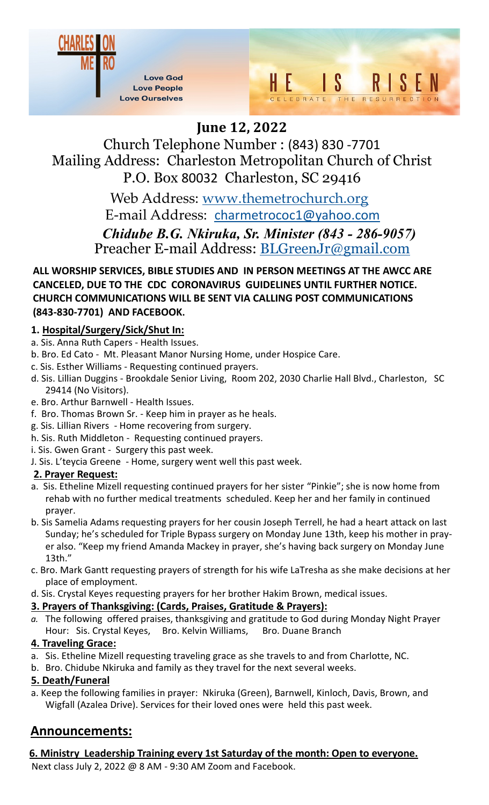



# **June 12, 2022**

Church Telephone Number : (843) 830 -7701 Mailing Address: Charleston Metropolitan Church of Christ P.O. Box 80032 Charleston, SC 29416

> *Chidube B.G. Nkiruka, Sr. Minister (843 - 286-9057)*  Preacher E-mail Address: BLGreenJr@gmail.com Web Address: www.themetrochurch.org E-mail Address: charmetrococ1@yahoo.com

**ALL WORSHIP SERVICES, BIBLE STUDIES AND IN PERSON MEETINGS AT THE AWCC ARE CANCELED, DUE TO THE CDC CORONAVIRUS GUIDELINES UNTIL FURTHER NOTICE. CHURCH COMMUNICATIONS WILL BE SENT VIA CALLING POST COMMUNICATIONS (843-830-7701) AND FACEBOOK.**

# **1. Hospital/Surgery/Sick/Shut In:**

- a. Sis. Anna Ruth Capers Health Issues.
- b. Bro. Ed Cato Mt. Pleasant Manor Nursing Home, under Hospice Care.
- c. Sis. Esther Williams Requesting continued prayers.
- d. Sis. Lillian Duggins Brookdale Senior Living, Room 202, 2030 Charlie Hall Blvd., Charleston, SC 29414 (No Visitors).
- e. Bro. Arthur Barnwell Health Issues.
- f. Bro. Thomas Brown Sr. Keep him in prayer as he heals.
- g. Sis. Lillian Rivers Home recovering from surgery.
- h. Sis. Ruth Middleton Requesting continued prayers.
- i. Sis. Gwen Grant Surgery this past week.
- J. Sis. L'teycia Greene Home, surgery went well this past week.

# **2. Prayer Request:**

- a. Sis. Etheline Mizell requesting continued prayers for her sister "Pinkie"; she is now home from rehab with no further medical treatments scheduled. Keep her and her family in continued prayer.
- b. Sis Samelia Adams requesting prayers for her cousin Joseph Terrell, he had a heart attack on last Sunday; he's scheduled for Triple Bypass surgery on Monday June 13th, keep his mother in prayer also. "Keep my friend Amanda Mackey in prayer, she's having back surgery on Monday June 13th."
- c. Bro. Mark Gantt requesting prayers of strength for his wife LaTresha as she make decisions at her place of employment.
- d. Sis. Crystal Keyes requesting prayers for her brother Hakim Brown, medical issues.

# **3. Prayers of Thanksgiving: (Cards, Praises, Gratitude & Prayers):**

*a.* The following offered praises, thanksgiving and gratitude to God during Monday Night Prayer Hour: Sis. Crystal Keyes, Bro. Kelvin Williams, Bro. Duane Branch

# **4. Traveling Grace:**

- a. Sis. Etheline Mizell requesting traveling grace as she travels to and from Charlotte, NC.
- b. Bro. Chidube Nkiruka and family as they travel for the next several weeks.

# **5. Death/Funeral**

a. Keep the following families in prayer: Nkiruka (Green), Barnwell, Kinloch, Davis, Brown, and Wigfall (Azalea Drive). Services for their loved ones were held this past week.

# **Announcements:**

**6. Ministry Leadership Training every 1st Saturday of the month: Open to everyone.**

Next class July 2, 2022 @ 8 AM - 9:30 AM Zoom and Facebook.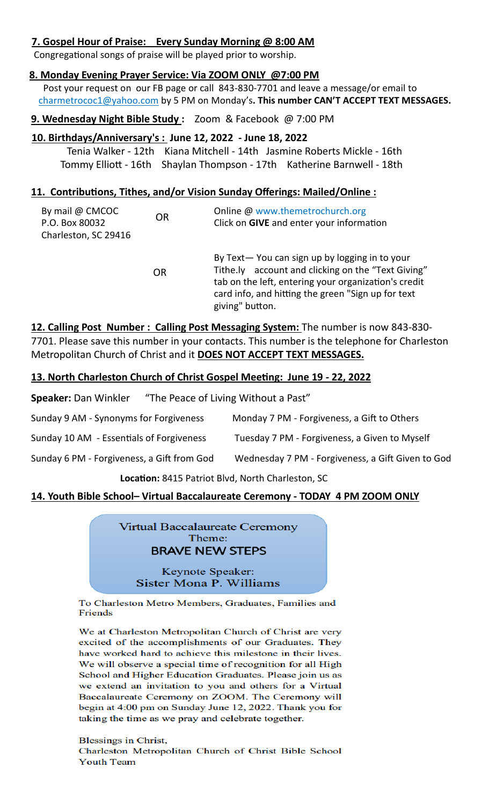### **7. Gospel Hour of Praise: Every Sunday Morning @ 8:00 AM**

Congregational songs of praise will be played prior to worship.

#### **8. Monday Evening Prayer Service: Via ZOOM ONLY @7:00 PM**

 Post your request on our FB page or call 843-830-7701 and leave a message/or email to charmetrococ1@yahoo.com by 5 PM on Monday's**. This number CAN'T ACCEPT TEXT MESSAGES.**

#### **9. Wednesday Night Bible Study :** Zoom & Facebook @ 7:00 PM

#### **10. Birthdays/Anniversary's : June 12, 2022 - June 18, 2022**

 Tenia Walker - 12th Kiana Mitchell - 14th Jasmine Roberts Mickle - 16th Tommy Elliott - 16th Shaylan Thompson - 17th Katherine Barnwell - 18th

#### **11. Contributions, Tithes, and/or Vision Sunday Offerings: Mailed/Online :**

| By mail @ CMCOC<br>P.O. Box 80032<br>Charleston, SC 29416 | <b>OR</b> | Online @ www.themetrochurch.org<br>Click on GIVE and enter your information                                                                                                                                                          |
|-----------------------------------------------------------|-----------|--------------------------------------------------------------------------------------------------------------------------------------------------------------------------------------------------------------------------------------|
|                                                           | OR        | By Text-You can sign up by logging in to your<br>Tithe.ly account and clicking on the "Text Giving"<br>tab on the left, entering your organization's credit<br>card info, and hitting the green "Sign up for text<br>giving" button. |

**12. Calling Post Number : Calling Post Messaging System:** The number is now 843-830- 7701. Please save this number in your contacts. This number is the telephone for Charleston Metropolitan Church of Christ and it **DOES NOT ACCEPT TEXT MESSAGES.**

#### **13. North Charleston Church of Christ Gospel Meeting: June 19 - 22, 2022**

Speaker: Dan Winkler "The Peace of Living Without a Past"

| Sunday 9 AM - Synonyms for Forgiveness     | Monday 7 PM - Forgiveness, a Gift to Others       |
|--------------------------------------------|---------------------------------------------------|
| Sunday 10 AM - Essentials of Forgiveness   | Tuesday 7 PM - Forgiveness, a Given to Myself     |
| Sunday 6 PM - Forgiveness, a Gift from God | Wednesday 7 PM - Forgiveness, a Gift Given to God |

 **Location:** 8415 Patriot Blvd, North Charleston, SC

#### **14. Youth Bible School– Virtual Baccalaureate Ceremony - TODAY 4 PM ZOOM ONLY**

Virtual Baccalaureate Ceremony Theme: **BRAVE NEW STEPS** 

> Keynote Speaker: Sister Mona P. Williams

To Charleston Metro Members, Graduates, Families and Friends

We at Charleston Metropolitan Church of Christ are very excited of the accomplishments of our Graduates. They have worked hard to achieve this milestone in their lives. We will observe a special time of recognition for all High School and Higher Education Graduates. Please join us as we extend an invitation to you and others for a Virtual Baccalaureate Ceremony on ZOOM. The Ceremony will begin at 4:00 pm on Sunday June 12, 2022. Thank you for taking the time as we pray and celebrate together.

Blessings in Christ, Charleston Metropolitan Church of Christ Bible School **Youth Team**